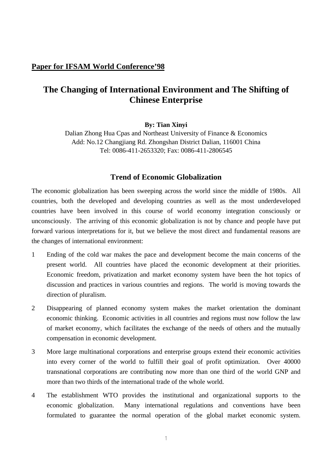## **Paper for IFSAM World Conference'98**

# **The Changing of International Environment and The Shifting of Chinese Enterprise**

#### **By: Tian Xinyi**

Dalian Zhong Hua Cpas and Northeast University of Finance & Economics Add: No.12 Changjiang Rd. Zhongshan District Dalian, 116001 China Tel: 0086-411-2653320; Fax: 0086-411-2806545

## **Trend of Economic Globalization**

The economic globalization has been sweeping across the world since the middle of 1980s. All countries, both the developed and developing countries as well as the most underdeveloped countries have been involved in this course of world economy integration consciously or unconsciously. The arriving of this economic globalization is not by chance and people have put forward various interpretations for it, but we believe the most direct and fundamental reasons are the changes of international environment:

- 1 Ending of the cold war makes the pace and development become the main concerns of the present world. All countries have placed the economic development at their priorities. Economic freedom, privatization and market economy system have been the hot topics of discussion and practices in various countries and regions. The world is moving towards the direction of pluralism.
- 2 Disappearing of planned economy system makes the market orientation the dominant economic thinking. Economic activities in all countries and regions must now follow the law of market economy, which facilitates the exchange of the needs of others and the mutually compensation in economic development.
- 3 More large multinational corporations and enterprise groups extend their economic activities into every corner of the world to fulfill their goal of profit optimization. Over 40000 transnational corporations are contributing now more than one third of the world GNP and more than two thirds of the international trade of the whole world.
- 4 The establishment WTO provides the institutional and organizational supports to the economic globalization. Many international regulations and conventions have been formulated to guarantee the normal operation of the global market economic system.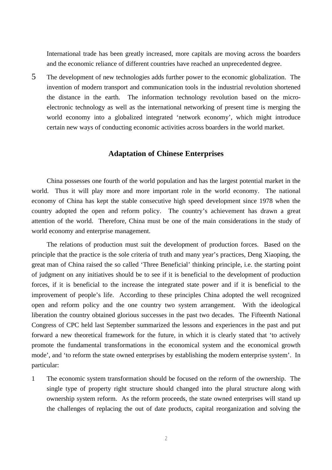International trade has been greatly increased, more capitals are moving across the boarders and the economic reliance of different countries have reached an unprecedented degree.

5 The development of new technologies adds further power to the economic globalization. The invention of modern transport and communication tools in the industrial revolution shortened the distance in the earth. The information technology revolution based on the microelectronic technology as well as the international networking of present time is merging the world economy into a globalized integrated 'network economy', which might introduce certain new ways of conducting economic activities across boarders in the world market.

#### **Adaptation of Chinese Enterprises**

China possesses one fourth of the world population and has the largest potential market in the world. Thus it will play more and more important role in the world economy. The national economy of China has kept the stable consecutive high speed development since 1978 when the country adopted the open and reform policy. The country's achievement has drawn a great attention of the world. Therefore, China must be one of the main considerations in the study of world economy and enterprise management.

The relations of production must suit the development of production forces. Based on the principle that the practice is the sole criteria of truth and many year's practices, Deng Xiaoping, the great man of China raised the so called 'Three Beneficial' thinking principle, i.e. the starting point of judgment on any initiatives should be to see if it is beneficial to the development of production forces, if it is beneficial to the increase the integrated state power and if it is beneficial to the improvement of people's life. According to these principles China adopted the well recognized open and reform policy and the one country two system arrangement. With the ideological liberation the country obtained glorious successes in the past two decades. The Fifteenth National Congress of CPC held last September summarized the lessons and experiences in the past and put forward a new theoretical framework for the future, in which it is clearly stated that 'to actively promote the fundamental transformations in the economical system and the economical growth mode', and 'to reform the state owned enterprises by establishing the modern enterprise system'. In particular:

1 The economic system transformation should be focused on the reform of the ownership. The single type of property right structure should changed into the plural structure along with ownership system reform. As the reform proceeds, the state owned enterprises will stand up the challenges of replacing the out of date products, capital reorganization and solving the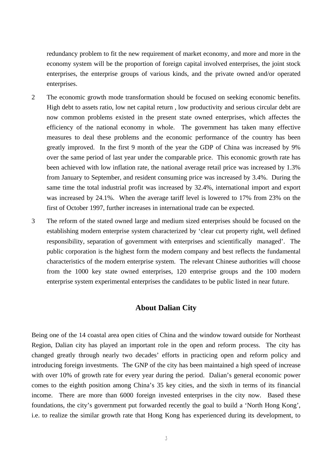redundancy problem to fit the new requirement of market economy, and more and more in the economy system will be the proportion of foreign capital involved enterprises, the joint stock enterprises, the enterprise groups of various kinds, and the private owned and/or operated enterprises.

- 2 The economic growth mode transformation should be focused on seeking economic benefits. High debt to assets ratio, low net capital return , low productivity and serious circular debt are now common problems existed in the present state owned enterprises, which affectes the efficiency of the national economy in whole. The government has taken many effective measures to deal these problems and the economic performance of the country has been greatly improved. In the first 9 month of the year the GDP of China was increased by 9% over the same period of last year under the comparable price. This economic growth rate has been achieved with low inflation rate, the national average retail price was increased by 1.3% from January to September, and resident consuming price was increased by 3.4%. During the same time the total industrial profit was increased by 32.4%, international import and export was increased by 24.1%. When the average tariff level is lowered to 17% from 23% on the first of October 1997, further increases in international trade can be expected.
- 3 The reform of the stated owned large and medium sized enterprises should be focused on the establishing modern enterprise system characterized by 'clear cut property right, well defined responsibility, separation of government with enterprises and scientifically managed'. The public corporation is the highest form the modern company and best reflects the fundamental characteristics of the modern enterprise system. The relevant Chinese authorities will choose from the 1000 key state owned enterprises, 120 enterprise groups and the 100 modern enterprise system experimental enterprises the candidates to be public listed in near future.

### **About Dalian City**

Being one of the 14 coastal area open cities of China and the window toward outside for Northeast Region, Dalian city has played an important role in the open and reform process. The city has changed greatly through nearly two decades' efforts in practicing open and reform policy and introducing foreign investments. The GNP of the city has been maintained a high speed of increase with over 10% of growth rate for every year during the period. Dalian's general economic power comes to the eighth position among China's 35 key cities, and the sixth in terms of its financial income. There are more than 6000 foreign invested enterprises in the city now. Based these foundations, the city's government put forwarded recently the goal to build a 'North Hong Kong', i.e. to realize the similar growth rate that Hong Kong has experienced during its development, to